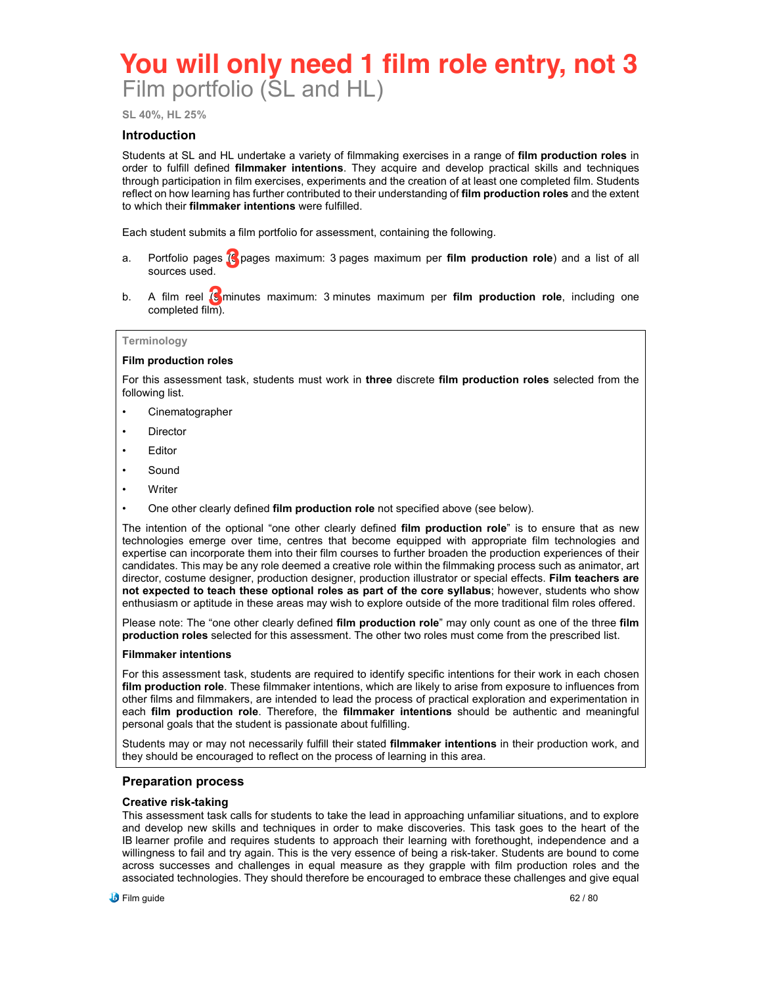# Film portfolio (SL and HL) **You will only need 1 film role entry, not 3**

**SL 40%, HL 25%**

### **Introduction**

Students at SL and HL undertake a variety of filmmaking exercises in a range of **film production roles** in order to fulfill defined **filmmaker intentions**. They acquire and develop practical skills and techniques through participation in film exercises, experiments and the creation of at least one completed film. Students reflect on how learning has further contributed to their understanding of **film production roles** and the extent to which their **filmmaker intentions** were fulfilled.

Each student submits a film portfolio for assessment, containing the following.

- a. Portfolio pages (S pages maximum: 3 pages maximum per **film production role**) and a list of all<br>sources used. sources used.
- b. A film reel (9 minutes maximum: 3 minutes maximum per **film production role**, including one **3** completed film).

#### **Terminology**

#### **Film production roles**

For this assessment task, students must work in **three** discrete **film production roles** selected from the following list.

- **Cinematographer**
- **Director**
- **Editor**
- **Sound**
- **Writer**
- One other clearly defined **film production role** not specified above (see below).

The intention of the optional "one other clearly defined **film production role**" is to ensure that as new technologies emerge over time, centres that become equipped with appropriate film technologies and expertise can incorporate them into their film courses to further broaden the production experiences of their candidates. This may be any role deemed a creative role within the filmmaking process such as animator, art director, costume designer, production designer, production illustrator or special effects. **Film teachers are not expected to teach these optional roles as part of the core syllabus**; however, students who show enthusiasm or aptitude in these areas may wish to explore outside of the more traditional film roles offered.

Please note: The "one other clearly defined **film production role**" may only count as one of the three **film production roles** selected for this assessment. The other two roles must come from the prescribed list.

#### **Filmmaker intentions**

For this assessment task, students are required to identify specific intentions for their work in each chosen **film production role**. These filmmaker intentions, which are likely to arise from exposure to influences from other films and filmmakers, are intended to lead the process of practical exploration and experimentation in each **film production role**. Therefore, the **filmmaker intentions** should be authentic and meaningful personal goals that the student is passionate about fulfilling.

Students may or may not necessarily fulfill their stated **filmmaker intentions** in their production work, and they should be encouraged to reflect on the process of learning in this area.

#### **Preparation process**

#### **Creative risk-taking**

This assessment task calls for students to take the lead in approaching unfamiliar situations, and to explore and develop new skills and techniques in order to make discoveries. This task goes to the heart of the IB learner profile and requires students to approach their learning with forethought, independence and a willingness to fail and try again. This is the very essence of being a risk-taker. Students are bound to come across successes and challenges in equal measure as they grapple with film production roles and the associated technologies. They should therefore be encouraged to embrace these challenges and give equal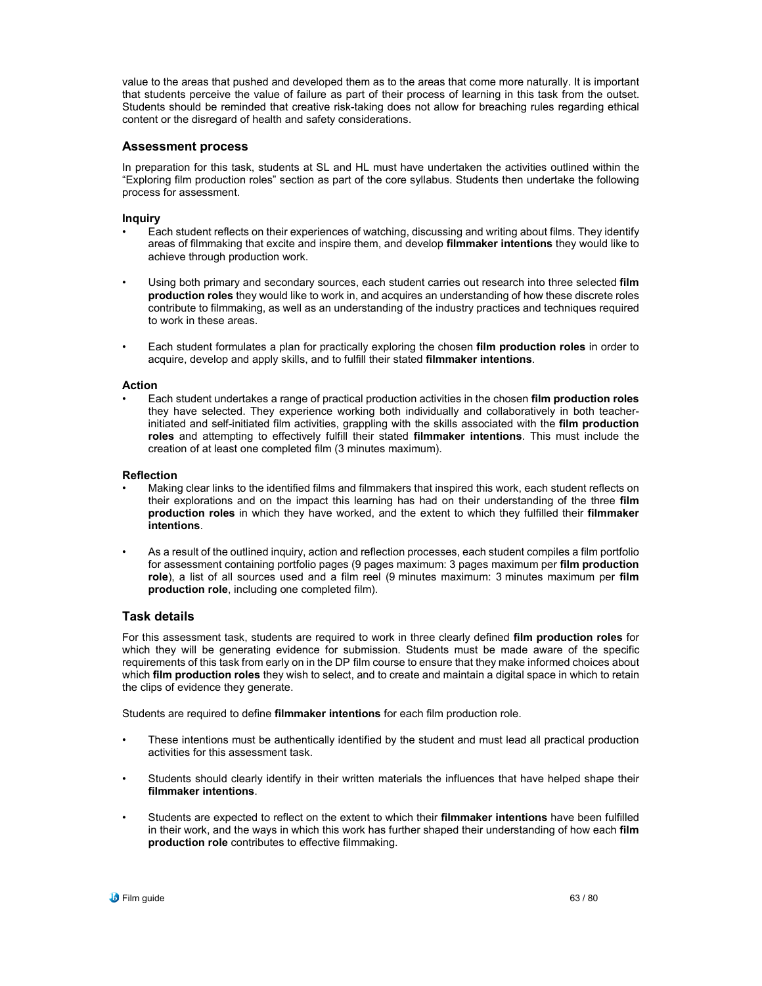value to the areas that pushed and developed them as to the areas that come more naturally. It is important that students perceive the value of failure as part of their process of learning in this task from the outset. Students should be reminded that creative risk-taking does not allow for breaching rules regarding ethical content or the disregard of health and safety considerations.

# **Assessment process**

In preparation for this task, students at SL and HL must have undertaken the activities outlined within the "Exploring film production roles" section as part of the core syllabus. Students then undertake the following process for assessment.

# **Inquiry**

- Each student reflects on their experiences of watching, discussing and writing about films. They identify areas of filmmaking that excite and inspire them, and develop **filmmaker intentions** they would like to achieve through production work.
- Using both primary and secondary sources, each student carries out research into three selected **film production roles** they would like to work in, and acquires an understanding of how these discrete roles contribute to filmmaking, as well as an understanding of the industry practices and techniques required to work in these areas.
- Each student formulates a plan for practically exploring the chosen **film production roles** in order to acquire, develop and apply skills, and to fulfill their stated **filmmaker intentions**.

### **Action**

• Each student undertakes a range of practical production activities in the chosen **film production roles** they have selected. They experience working both individually and collaboratively in both teacherinitiated and self-initiated film activities, grappling with the skills associated with the **film production roles** and attempting to effectively fulfill their stated **filmmaker intentions**. This must include the creation of at least one completed film (3 minutes maximum).

#### **Reflection**

- Making clear links to the identified films and filmmakers that inspired this work, each student reflects on their explorations and on the impact this learning has had on their understanding of the three **film production roles** in which they have worked, and the extent to which they fulfilled their **filmmaker intentions**.
- As a result of the outlined inquiry, action and reflection processes, each student compiles a film portfolio for assessment containing portfolio pages (9 pages maximum: 3 pages maximum per **film production role**), a list of all sources used and a film reel (9 minutes maximum: 3 minutes maximum per **film production role**, including one completed film).

# **Task details**

For this assessment task, students are required to work in three clearly defined **film production roles** for which they will be generating evidence for submission. Students must be made aware of the specific requirements of this task from early on in the DP film course to ensure that they make informed choices about which **film production roles** they wish to select, and to create and maintain a digital space in which to retain the clips of evidence they generate.

Students are required to define **filmmaker intentions** for each film production role.

- These intentions must be authentically identified by the student and must lead all practical production activities for this assessment task.
- Students should clearly identify in their written materials the influences that have helped shape their **filmmaker intentions**.
- Students are expected to reflect on the extent to which their **filmmaker intentions** have been fulfilled in their work, and the ways in which this work has further shaped their understanding of how each **film production role** contributes to effective filmmaking.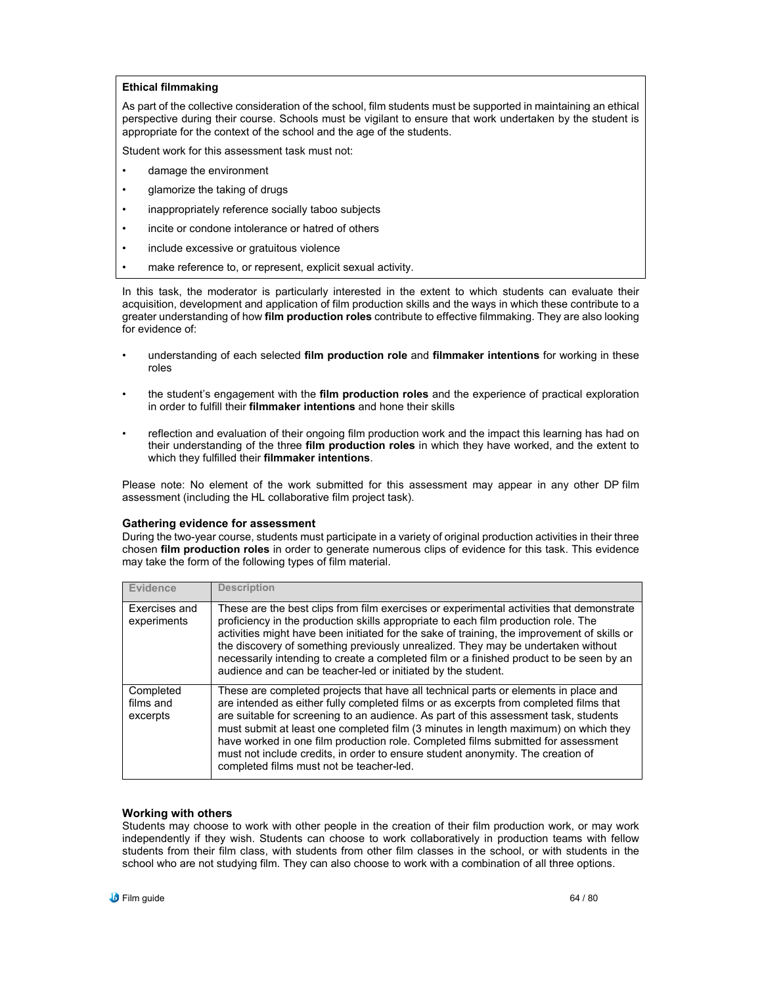### **Ethical filmmaking**

As part of the collective consideration of the school, film students must be supported in maintaining an ethical perspective during their course. Schools must be vigilant to ensure that work undertaken by the student is appropriate for the context of the school and the age of the students.

Student work for this assessment task must not:

- damage the environment
- glamorize the taking of drugs
- inappropriately reference socially taboo subjects
- incite or condone intolerance or hatred of others
- include excessive or gratuitous violence
- make reference to, or represent, explicit sexual activity.

In this task, the moderator is particularly interested in the extent to which students can evaluate their acquisition, development and application of film production skills and the ways in which these contribute to a greater understanding of how **film production roles** contribute to effective filmmaking. They are also looking for evidence of:

- understanding of each selected **film production role** and **filmmaker intentions** for working in these roles
- the student's engagement with the **film production roles** and the experience of practical exploration in order to fulfill their **filmmaker intentions** and hone their skills
- reflection and evaluation of their ongoing film production work and the impact this learning has had on their understanding of the three **film production roles** in which they have worked, and the extent to which they fulfilled their **filmmaker intentions**.

Please note: No element of the work submitted for this assessment may appear in any other DP film assessment (including the HL collaborative film project task).

#### **Gathering evidence for assessment**

During the two-year course, students must participate in a variety of original production activities in their three chosen **film production roles** in order to generate numerous clips of evidence for this task. This evidence may take the form of the following types of film material.

| Evidence                           | <b>Description</b>                                                                                                                                                                                                                                                                                                                                                                                                                                                                                                                                                              |
|------------------------------------|---------------------------------------------------------------------------------------------------------------------------------------------------------------------------------------------------------------------------------------------------------------------------------------------------------------------------------------------------------------------------------------------------------------------------------------------------------------------------------------------------------------------------------------------------------------------------------|
| Exercises and<br>experiments       | These are the best clips from film exercises or experimental activities that demonstrate<br>proficiency in the production skills appropriate to each film production role. The<br>activities might have been initiated for the sake of training, the improvement of skills or<br>the discovery of something previously unrealized. They may be undertaken without<br>necessarily intending to create a completed film or a finished product to be seen by an<br>audience and can be teacher-led or initiated by the student.                                                    |
| Completed<br>films and<br>excerpts | These are completed projects that have all technical parts or elements in place and<br>are intended as either fully completed films or as excerpts from completed films that<br>are suitable for screening to an audience. As part of this assessment task, students<br>must submit at least one completed film (3 minutes in length maximum) on which they<br>have worked in one film production role. Completed films submitted for assessment<br>must not include credits, in order to ensure student anonymity. The creation of<br>completed films must not be teacher-led. |

#### **Working with others**

Students may choose to work with other people in the creation of their film production work, or may work independently if they wish. Students can choose to work collaboratively in production teams with fellow students from their film class, with students from other film classes in the school, or with students in the school who are not studying film. They can also choose to work with a combination of all three options.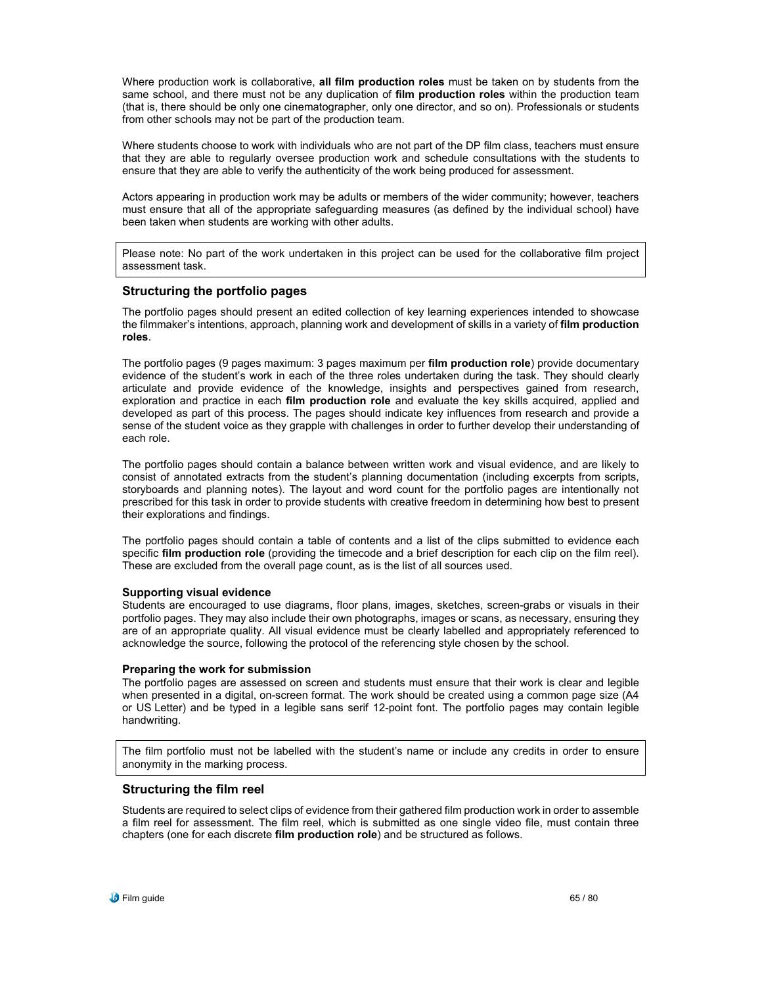Where production work is collaborative, **all film production roles** must be taken on by students from the same school, and there must not be any duplication of **film production roles** within the production team (that is, there should be only one cinematographer, only one director, and so on). Professionals or students from other schools may not be part of the production team.

Where students choose to work with individuals who are not part of the DP film class, teachers must ensure that they are able to regularly oversee production work and schedule consultations with the students to ensure that they are able to verify the authenticity of the work being produced for assessment.

Actors appearing in production work may be adults or members of the wider community; however, teachers must ensure that all of the appropriate safeguarding measures (as defined by the individual school) have been taken when students are working with other adults.

Please note: No part of the work undertaken in this project can be used for the collaborative film project assessment task.

# **Structuring the portfolio pages**

The portfolio pages should present an edited collection of key learning experiences intended to showcase the filmmaker's intentions, approach, planning work and development of skills in a variety of **film production roles**.

The portfolio pages (9 pages maximum: 3 pages maximum per **film production role**) provide documentary evidence of the student's work in each of the three roles undertaken during the task. They should clearly articulate and provide evidence of the knowledge, insights and perspectives gained from research, exploration and practice in each **film production role** and evaluate the key skills acquired, applied and developed as part of this process. The pages should indicate key influences from research and provide a sense of the student voice as they grapple with challenges in order to further develop their understanding of each role.

The portfolio pages should contain a balance between written work and visual evidence, and are likely to consist of annotated extracts from the student's planning documentation (including excerpts from scripts, storyboards and planning notes). The layout and word count for the portfolio pages are intentionally not prescribed for this task in order to provide students with creative freedom in determining how best to present their explorations and findings.

The portfolio pages should contain a table of contents and a list of the clips submitted to evidence each specific **film production role** (providing the timecode and a brief description for each clip on the film reel). These are excluded from the overall page count, as is the list of all sources used.

### **Supporting visual evidence**

Students are encouraged to use diagrams, floor plans, images, sketches, screen-grabs or visuals in their portfolio pages. They may also include their own photographs, images or scans, as necessary, ensuring they are of an appropriate quality. All visual evidence must be clearly labelled and appropriately referenced to acknowledge the source, following the protocol of the referencing style chosen by the school.

#### **Preparing the work for submission**

The portfolio pages are assessed on screen and students must ensure that their work is clear and legible when presented in a digital, on-screen format. The work should be created using a common page size (A4 or US Letter) and be typed in a legible sans serif 12-point font. The portfolio pages may contain legible handwriting.

The film portfolio must not be labelled with the student's name or include any credits in order to ensure anonymity in the marking process.

# **Structuring the film reel**

Students are required to select clips of evidence from their gathered film production work in order to assemble a film reel for assessment. The film reel, which is submitted as one single video file, must contain three chapters (one for each discrete **film production role**) and be structured as follows.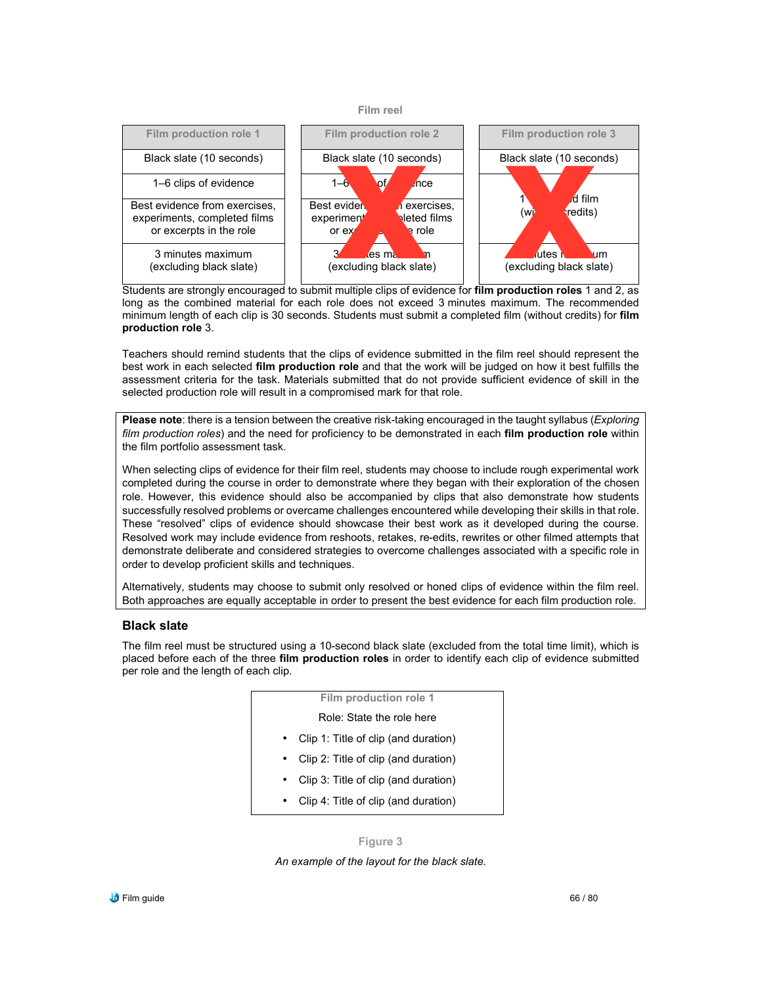



Students are strongly encouraged to submit multiple clips of evidence for **film production roles** 1 and 2, as long as the combined material for each role does not exceed 3 minutes maximum. The recommended minimum length of each clip is 30 seconds. Students must submit a completed film (without credits) for **film production role** 3.

Teachers should remind students that the clips of evidence submitted in the film reel should represent the best work in each selected **film production role** and that the work will be judged on how it best fulfills the assessment criteria for the task. Materials submitted that do not provide sufficient evidence of skill in the selected production role will result in a compromised mark for that role.

**Please note**: there is a tension between the creative risk-taking encouraged in the taught syllabus (*Exploring film production roles*) and the need for proficiency to be demonstrated in each **film production role** within the film portfolio assessment task.

When selecting clips of evidence for their film reel, students may choose to include rough experimental work completed during the course in order to demonstrate where they began with their exploration of the chosen role. However, this evidence should also be accompanied by clips that also demonstrate how students successfully resolved problems or overcame challenges encountered while developing their skills in that role. These "resolved" clips of evidence should showcase their best work as it developed during the course. Resolved work may include evidence from reshoots, retakes, re-edits, rewrites or other filmed attempts that demonstrate deliberate and considered strategies to overcome challenges associated with a specific role in order to develop proficient skills and techniques.

Alternatively, students may choose to submit only resolved or honed clips of evidence within the film reel. Both approaches are equally acceptable in order to present the best evidence for each film production role.

# **Black slate**

The film reel must be structured using a 10-second black slate (excluded from the total time limit), which is placed before each of the three **film production roles** in order to identify each clip of evidence submitted per role and the length of each clip.

| Film production role 1               |
|--------------------------------------|
| Role: State the role here            |
| Clip 1: Title of clip (and duration) |
| Clip 2: Title of clip (and duration) |
| Clip 3: Title of clip (and duration) |
| Clip 4: Title of clip (and duration) |
|                                      |

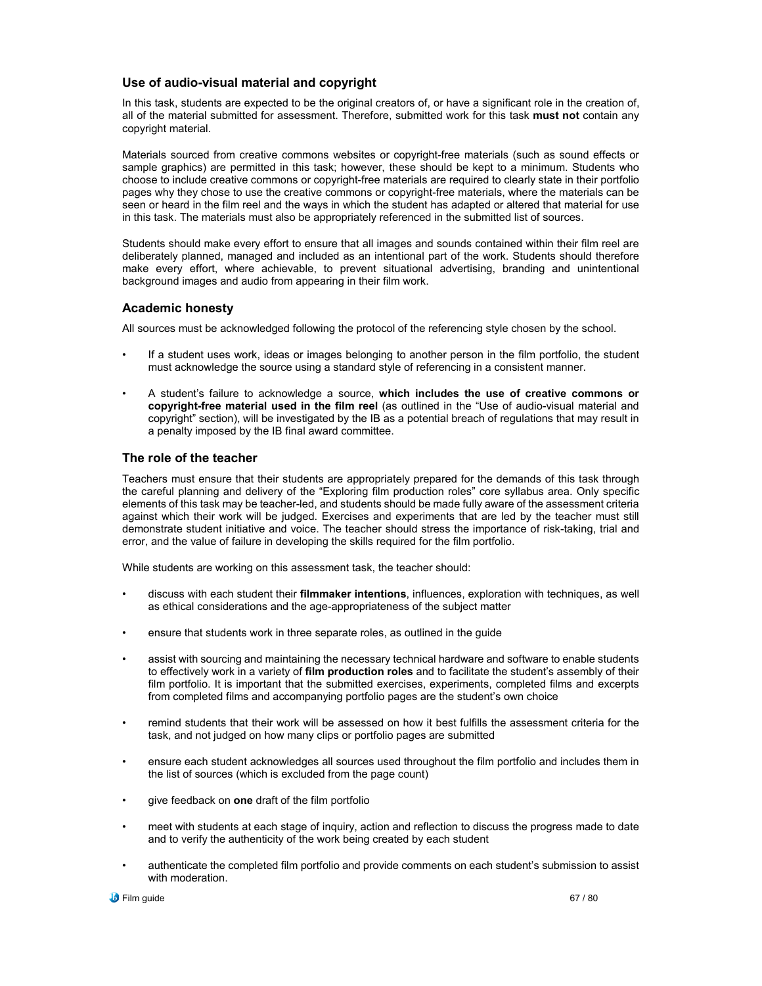# **Use of audio-visual material and copyright**

In this task, students are expected to be the original creators of, or have a significant role in the creation of, all of the material submitted for assessment. Therefore, submitted work for this task **must not** contain any copyright material.

Materials sourced from creative commons websites or copyright-free materials (such as sound effects or sample graphics) are permitted in this task; however, these should be kept to a minimum. Students who choose to include creative commons or copyright-free materials are required to clearly state in their portfolio pages why they chose to use the creative commons or copyright-free materials, where the materials can be seen or heard in the film reel and the ways in which the student has adapted or altered that material for use in this task. The materials must also be appropriately referenced in the submitted list of sources.

Students should make every effort to ensure that all images and sounds contained within their film reel are deliberately planned, managed and included as an intentional part of the work. Students should therefore make every effort, where achievable, to prevent situational advertising, branding and unintentional background images and audio from appearing in their film work.

# **Academic honesty**

All sources must be acknowledged following the protocol of the referencing style chosen by the school.

- If a student uses work, ideas or images belonging to another person in the film portfolio, the student must acknowledge the source using a standard style of referencing in a consistent manner.
- A student's failure to acknowledge a source, **which includes the use of creative commons or copyright-free material used in the film reel** (as outlined in the "Use of audio-visual material and copyright" section), will be investigated by the IB as a potential breach of regulations that may result in a penalty imposed by the IB final award committee.

# **The role of the teacher**

Teachers must ensure that their students are appropriately prepared for the demands of this task through the careful planning and delivery of the "Exploring film production roles" core syllabus area. Only specific elements of this task may be teacher-led, and students should be made fully aware of the assessment criteria against which their work will be judged. Exercises and experiments that are led by the teacher must still demonstrate student initiative and voice. The teacher should stress the importance of risk-taking, trial and error, and the value of failure in developing the skills required for the film portfolio.

While students are working on this assessment task, the teacher should:

- discuss with each student their **filmmaker intentions**, influences, exploration with techniques, as well as ethical considerations and the age-appropriateness of the subject matter
- ensure that students work in three separate roles, as outlined in the guide
- assist with sourcing and maintaining the necessary technical hardware and software to enable students to effectively work in a variety of **film production roles** and to facilitate the student's assembly of their film portfolio. It is important that the submitted exercises, experiments, completed films and excerpts from completed films and accompanying portfolio pages are the student's own choice
- remind students that their work will be assessed on how it best fulfills the assessment criteria for the task, and not judged on how many clips or portfolio pages are submitted
- ensure each student acknowledges all sources used throughout the film portfolio and includes them in the list of sources (which is excluded from the page count)
- give feedback on **one** draft of the film portfolio
- meet with students at each stage of inquiry, action and reflection to discuss the progress made to date and to verify the authenticity of the work being created by each student
- authenticate the completed film portfolio and provide comments on each student's submission to assist with moderation.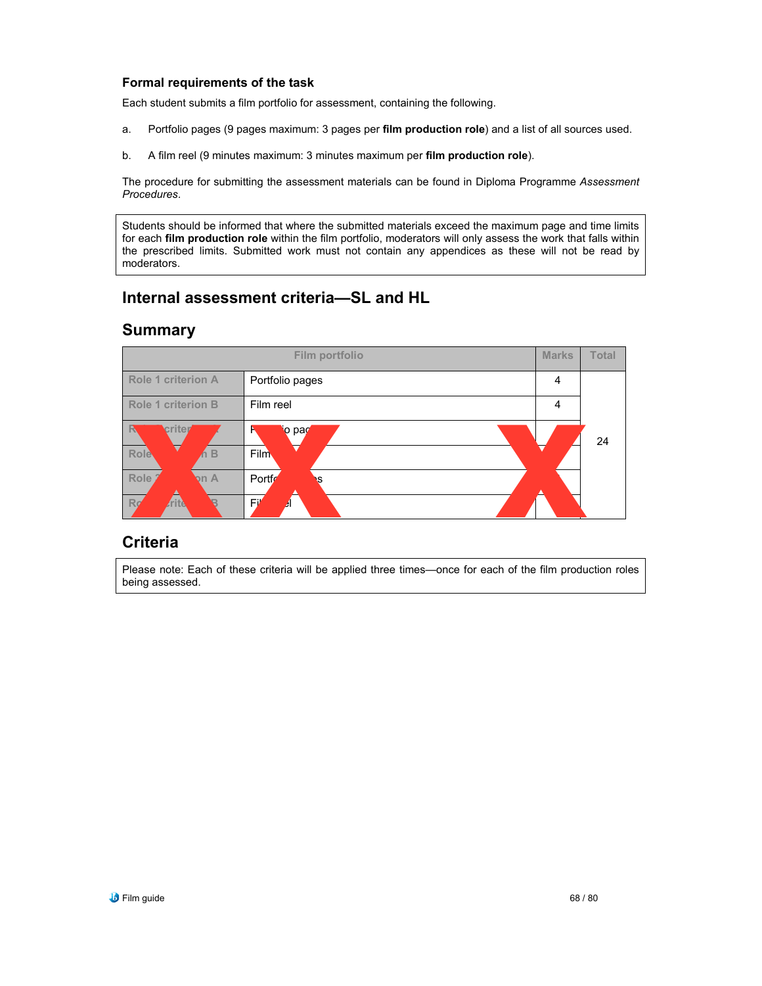# **Formal requirements of the task**

Each student submits a film portfolio for assessment, containing the following.

- a. Portfolio pages (9 pages maximum: 3 pages per **film production role**) and a list of all sources used.
- b. A film reel (9 minutes maximum: 3 minutes maximum per **film production role**).

The procedure for submitting the assessment materials can be found in Diploma Programme *Assessment Procedures*.

Students should be informed that where the submitted materials exceed the maximum page and time limits for each **film production role** within the film portfolio, moderators will only assess the work that falls within the prescribed limits. Submitted work must not contain any appendices as these will not be read by moderators.

# **Internal assessment criteria—SL and HL**

# **Summary**



# **Criteria**

Please note: Each of these criteria will be applied three times—once for each of the film production roles being assessed.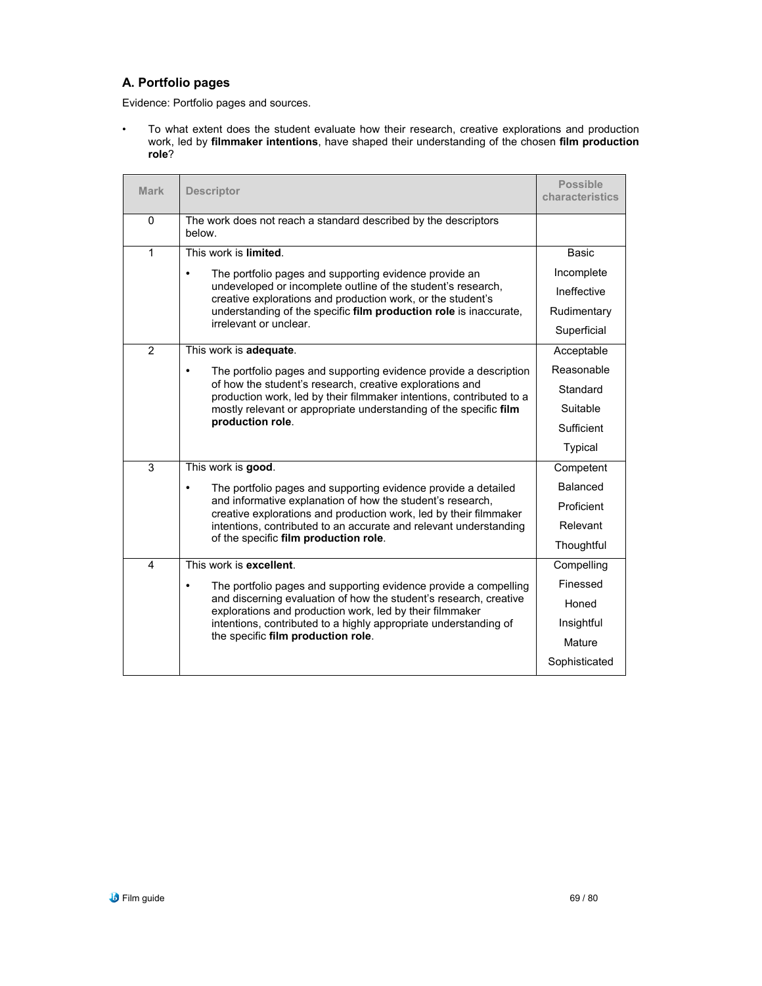# **A. Portfolio pages**

Evidence: Portfolio pages and sources.

• To what extent does the student evaluate how their research, creative explorations and production work, led by **filmmaker intentions**, have shaped their understanding of the chosen **film production role**?

| <b>Mark</b>    | <b>Descriptor</b>                                                                                                                                                                                                                                                                                                            | <b>Possible</b><br>characteristics |
|----------------|------------------------------------------------------------------------------------------------------------------------------------------------------------------------------------------------------------------------------------------------------------------------------------------------------------------------------|------------------------------------|
| $\Omega$       | The work does not reach a standard described by the descriptors<br>below.                                                                                                                                                                                                                                                    |                                    |
| 1              | This work is limited.                                                                                                                                                                                                                                                                                                        | <b>Basic</b>                       |
|                | $\bullet$<br>The portfolio pages and supporting evidence provide an                                                                                                                                                                                                                                                          | Incomplete                         |
|                | undeveloped or incomplete outline of the student's research,<br>creative explorations and production work, or the student's<br>understanding of the specific film production role is inaccurate.<br>irrelevant or unclear.                                                                                                   | Ineffective                        |
|                |                                                                                                                                                                                                                                                                                                                              | Rudimentary                        |
|                |                                                                                                                                                                                                                                                                                                                              | Superficial                        |
| $\overline{2}$ | This work is adequate.                                                                                                                                                                                                                                                                                                       | Acceptable                         |
|                | The portfolio pages and supporting evidence provide a description<br>of how the student's research, creative explorations and<br>production work, led by their filmmaker intentions, contributed to a<br>mostly relevant or appropriate understanding of the specific film<br>production role.                               | Reasonable                         |
|                |                                                                                                                                                                                                                                                                                                                              | Standard                           |
|                |                                                                                                                                                                                                                                                                                                                              | Suitable                           |
|                |                                                                                                                                                                                                                                                                                                                              | Sufficient                         |
|                |                                                                                                                                                                                                                                                                                                                              | Typical                            |
| 3              | This work is good.                                                                                                                                                                                                                                                                                                           | Competent                          |
|                | The portfolio pages and supporting evidence provide a detailed<br>$\bullet$<br>and informative explanation of how the student's research,<br>creative explorations and production work, led by their filmmaker<br>intentions, contributed to an accurate and relevant understanding<br>of the specific film production role. | Balanced                           |
|                |                                                                                                                                                                                                                                                                                                                              | Proficient                         |
|                |                                                                                                                                                                                                                                                                                                                              | Relevant                           |
|                |                                                                                                                                                                                                                                                                                                                              | Thoughtful                         |
| 4              | This work is excellent.                                                                                                                                                                                                                                                                                                      | Compelling                         |
|                | The portfolio pages and supporting evidence provide a compelling                                                                                                                                                                                                                                                             | Finessed                           |
|                | and discerning evaluation of how the student's research, creative<br>explorations and production work, led by their filmmaker                                                                                                                                                                                                | Honed                              |
|                | intentions, contributed to a highly appropriate understanding of                                                                                                                                                                                                                                                             | Insightful                         |
|                | the specific film production role.                                                                                                                                                                                                                                                                                           | Mature                             |
|                |                                                                                                                                                                                                                                                                                                                              | Sophisticated                      |